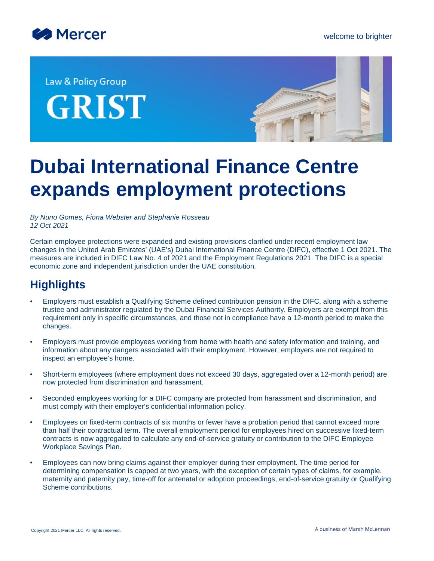

Law & Policy Group **GRIST** 



# **Dubai International Finance Centre expands employment protections**

*By Nuno Gomes, Fiona Webster and Stephanie Rosseau 12 Oct 2021*

Certain employee protections were expanded and existing provisions clarified under recent employment law changes in the United Arab Emirates' (UAE's) Dubai International Finance Centre (DIFC), effective 1 Oct 2021. The measures are included in DIFC Law No. 4 of 2021 and the Employment Regulations 2021. The DIFC is a special economic zone and independent jurisdiction under the UAE constitution.

# **Highlights**

- Employers must establish a Qualifying Scheme defined contribution pension in the DIFC, along with a scheme trustee and administrator regulated by the Dubai Financial Services Authority. Employers are exempt from this requirement only in specific circumstances, and those not in compliance have a 12-month period to make the changes.
- Employers must provide employees working from home with health and safety information and training, and information about any dangers associated with their employment. However, employers are not required to inspect an employee's home.
- Short-term employees (where employment does not exceed 30 days, aggregated over a 12-month period) are now protected from discrimination and harassment.
- Seconded employees working for a DIFC company are protected from harassment and discrimination, and must comply with their employer's confidential information policy.
- Employees on fixed-term contracts of six months or fewer have a probation period that cannot exceed more than half their contractual term. The overall employment period for employees hired on successive fixed-term contracts is now aggregated to calculate any end-of-service gratuity or contribution to the DIFC Employee Workplace Savings Plan.
- Employees can now bring claims against their employer during their employment. The time period for determining compensation is capped at two years, with the exception of certain types of claims, for example, maternity and paternity pay, time-off for antenatal or adoption proceedings, end-of-service gratuity or Qualifying Scheme contributions.